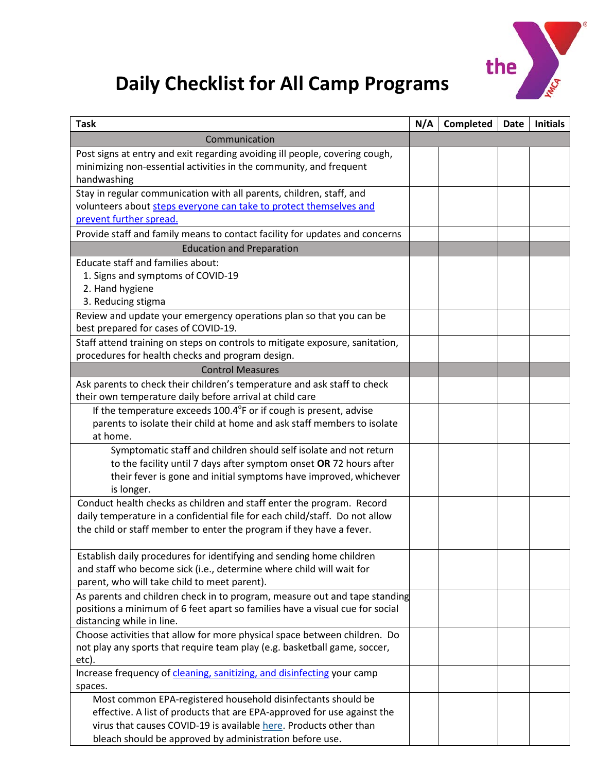

## **Daily Checklist for All Camp Programs**

| <b>Task</b>                                                                                                                                                      | N/A | Completed | <b>Date</b> | <b>Initials</b> |
|------------------------------------------------------------------------------------------------------------------------------------------------------------------|-----|-----------|-------------|-----------------|
| Communication                                                                                                                                                    |     |           |             |                 |
| Post signs at entry and exit regarding avoiding ill people, covering cough,<br>minimizing non-essential activities in the community, and frequent<br>handwashing |     |           |             |                 |
| Stay in regular communication with all parents, children, staff, and                                                                                             |     |           |             |                 |
| volunteers about steps everyone can take to protect themselves and                                                                                               |     |           |             |                 |
| prevent further spread.                                                                                                                                          |     |           |             |                 |
| Provide staff and family means to contact facility for updates and concerns                                                                                      |     |           |             |                 |
| <b>Education and Preparation</b>                                                                                                                                 |     |           |             |                 |
| Educate staff and families about:                                                                                                                                |     |           |             |                 |
| 1. Signs and symptoms of COVID-19                                                                                                                                |     |           |             |                 |
| 2. Hand hygiene                                                                                                                                                  |     |           |             |                 |
| 3. Reducing stigma                                                                                                                                               |     |           |             |                 |
| Review and update your emergency operations plan so that you can be<br>best prepared for cases of COVID-19.                                                      |     |           |             |                 |
| Staff attend training on steps on controls to mitigate exposure, sanitation,                                                                                     |     |           |             |                 |
| procedures for health checks and program design.                                                                                                                 |     |           |             |                 |
| <b>Control Measures</b>                                                                                                                                          |     |           |             |                 |
| Ask parents to check their children's temperature and ask staff to check                                                                                         |     |           |             |                 |
| their own temperature daily before arrival at child care                                                                                                         |     |           |             |                 |
| If the temperature exceeds 100.4°F or if cough is present, advise                                                                                                |     |           |             |                 |
| parents to isolate their child at home and ask staff members to isolate                                                                                          |     |           |             |                 |
| at home.                                                                                                                                                         |     |           |             |                 |
| Symptomatic staff and children should self isolate and not return                                                                                                |     |           |             |                 |
| to the facility until 7 days after symptom onset OR 72 hours after                                                                                               |     |           |             |                 |
| their fever is gone and initial symptoms have improved, whichever<br>is longer.                                                                                  |     |           |             |                 |
| Conduct health checks as children and staff enter the program. Record                                                                                            |     |           |             |                 |
| daily temperature in a confidential file for each child/staff. Do not allow                                                                                      |     |           |             |                 |
| the child or staff member to enter the program if they have a fever.                                                                                             |     |           |             |                 |
|                                                                                                                                                                  |     |           |             |                 |
| Establish daily procedures for identifying and sending home children                                                                                             |     |           |             |                 |
| and staff who become sick (i.e., determine where child will wait for                                                                                             |     |           |             |                 |
| parent, who will take child to meet parent).                                                                                                                     |     |           |             |                 |
| As parents and children check in to program, measure out and tape standing                                                                                       |     |           |             |                 |
| positions a minimum of 6 feet apart so families have a visual cue for social                                                                                     |     |           |             |                 |
| distancing while in line.                                                                                                                                        |     |           |             |                 |
| Choose activities that allow for more physical space between children. Do<br>not play any sports that require team play (e.g. basketball game, soccer,           |     |           |             |                 |
| etc).                                                                                                                                                            |     |           |             |                 |
| Increase frequency of cleaning, sanitizing, and disinfecting your camp                                                                                           |     |           |             |                 |
| spaces.                                                                                                                                                          |     |           |             |                 |
| Most common EPA-registered household disinfectants should be                                                                                                     |     |           |             |                 |
| effective. A list of products that are EPA-approved for use against the                                                                                          |     |           |             |                 |
| virus that causes COVID-19 is available here. Products other than                                                                                                |     |           |             |                 |
| bleach should be approved by administration before use.                                                                                                          |     |           |             |                 |